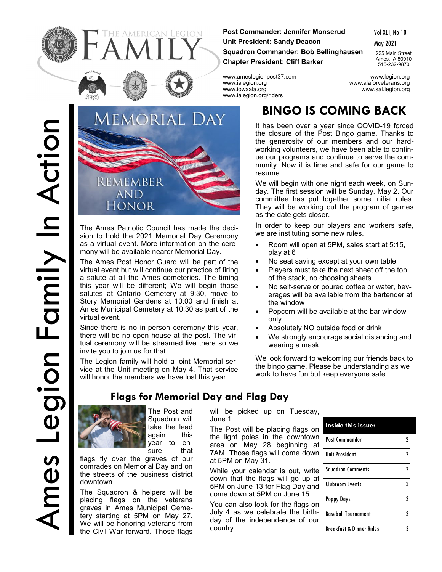Ames Legion Family In Action Legion Family In Action <u>က</u>



HE AMERICAN LEGION

The Ames Patriotic Council has made the decision to hold the 2021 Memorial Day Ceremony as a virtual event. More information on the ceremony will be available nearer Memorial Day.

The Ames Post Honor Guard will be part of the virtual event but will continue our practice of firing a salute at all the Ames cemeteries. The timing this year will be different; We will begin those salutes at Ontario Cemetery at 9:30, move to Story Memorial Gardens at 10:00 and finish at Ames Municipal Cemetery at 10:30 as part of the virtual event.

Since there is no in-person ceremony this year, there will be no open house at the post. The virtual ceremony will be streamed live there so we invite you to join us for that.

The Legion family will hold a joint Memorial service at the Unit meeting on May 4. That service will honor the members we have lost this year.

### **Flags for Memorial Day and Flag Day**



The Post and Squadron will take the lead again this year to ensure that

flags fly over the graves of our comrades on Memorial Day and on the streets of the business district downtown.

The Squadron & helpers will be placing flags on the veterans graves in Ames Municipal Cemetery starting at 5PM on May 27. We will be honoring veterans from the Civil War forward. Those flags

**Post Commander: Jennifer Monserud Unit President: Sandy Deacon Squadron Commander: Bob Bellinghausen Chapter President: Cliff Barker**

Vol XLI, No 10 May 2021

225 Main Street Ames, IA 50010 515-232-9870

www.ameslegionpost37.com www.legion.org www.iowaala.org www.sal.legion.org www.ialegion.org/riders

www.alaforveterans.org

## **BINGO IS COMING BACK**

It has been over a year since COVID-19 forced the closure of the Post Bingo game. Thanks to the generosity of our members and our hardworking volunteers, we have been able to continue our programs and continue to serve the community. Now it is time and safe for our game to resume.

We will begin with one night each week, on Sunday. The first session will be Sunday, May 2. Our committee has put together some initial rules. They will be working out the program of games as the date gets closer.

In order to keep our players and workers safe, we are instituting some new rules.

- Room will open at 5PM, sales start at 5:15, play at 6
- No seat saving except at your own table
- Players must take the next sheet off the top of the stack, no choosing sheets
- No self-serve or poured coffee or water, beverages will be available from the bartender at the window
- Popcorn will be available at the bar window only
- Absolutely NO outside food or drink
- We strongly encourage social distancing and wearing a mask

We look forward to welcoming our friends back to the bingo game. Please be understanding as we work to have fun but keep everyone safe.

June 1. The Post will be placing flags on the light poles in the downtown area on May 28 beginning at 7AM. Those flags will come down at 5PM on May 31.

While your calendar is out, write down that the flags will go up at 5PM on June 13 for Flag Day and come down at 5PM on June 15.

will be picked up on Tuesday,

You can also look for the flags on July 4 as we celebrate the birthday of the independence of our country.

| Inside this issue:                  |   |
|-------------------------------------|---|
| Post Commander                      | 7 |
| <b>Ilnit President</b>              | 2 |
| <b>Squadron Comments</b>            | 2 |
| Clubroom Events                     | 3 |
| Poppy Days                          | 3 |
| <b>Baseball Tournament</b>          | 3 |
| <b>Breakfast &amp; Dinner Rides</b> |   |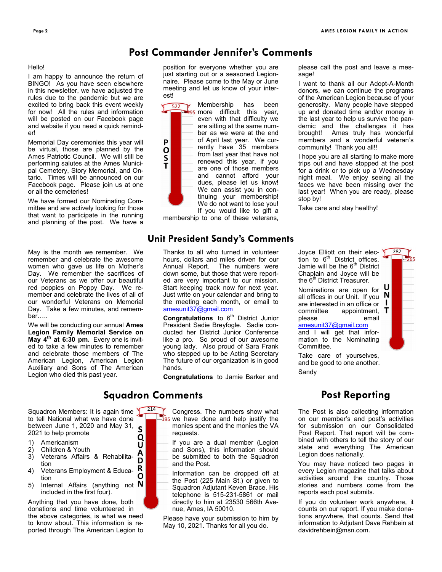### **Post Commander Jennifer's Comments**

### Hello!

I am happy to announce the return of BINGO! As you have seen elsewhere in this newsletter, we have adjusted the rules due to the pandemic but we are excited to bring back this event weekly for now! All the rules and information will be posted on our Facebook page and website if you need a quick reminder!

Memorial Day ceremonies this year will be virtual, those are planned by the Ames Patriotic Council. We will still be performing salutes at the Ames Municipal Cemetery, Story Memorial, and Ontario. Times will be announced on our Facebook page. Please join us at one or all the cemeteries!

We have formed our Nominating Committee and are actively looking for those that want to participate in the running and planning of the post. We have a

May is the month we remember. We remember and celebrate the awesome women who gave us life on Mother's Day. We remember the sacrifices of our Veterans as we offer our beautiful red poppies on Poppy Day. We remember and celebrate the lives of all of our wonderful Veterans on Memorial Day. Take a few minutes, and remember…..

We will be conducting our annual **Ames Legion Family Memorial Service on May 4th at 6:30 pm.** Every one is invited to take a few minutes to remember and celebrate those members of The American Legion, American Legion Auxiliary and Sons of The American Legion who died this past year.

Squadron Members: It is again time to tell National what we have done between June 1, 2020 and May 31, S 2021 to help promote Q

- 1) Americanism
- 2) Children & Youth<br>3) Veterans Affairs
- 3) Veterans Affairs & Rehabilitation
- R 4) Veterans Employment & Educa-O tion
- 5) Internal Affairs (anything not  $N$ included in the first four).

Anything that you have done, both donations and time volunteered in the above categories, is what we need to know about. This information is reported through The American Legion to

position for everyone whether you are just starting out or a seasoned Legionnaire. Please come to the May or June meeting and let us know of your interest!

> Membership has been more difficult this year, even with that difficulty we are sitting at the same number as we were at the end of April last year. We currently have 35 members from last year that have not renewed this year, if you are one of those members and cannot afford your dues, please let us know! We can assist you in continuing your membership! We do not want to lose you! If you would like to gift a

membership to one of these veterans,

### **Unit President Sandy's Comments**

Thanks to all who turned in volunteer hours, dollars and miles driven for our Annual Report. The numbers were down some, but those that were reported are very important to our mission. Start keeping track now for next year. Just write on your calendar and bring to the meeting each month, or email to [amesunit37@gmail.com](mailto:amesunit37@gmail.com)

**Congratulations** to 6<sup>th</sup> District Junior President Sadie Breyfogle. Sadie conducted her District Junior Conference like a pro. So proud of our awesome young lady. Also proud of Sara Frank who stepped up to be Acting Secretary The future of our organization is in good hands.

**Congratulations** to Jamie Barker and

### **Squadron Comments**

U A D P  $\mathbf{o}$  $\overline{\mathsf{s}}$ Ť

 $214$  Congress. The numbers show what  $-195$  we have done and help justify the monies spent and the monies the VA requests.

> If you are a dual member (Legion and Sons), this information should be submitted to both the Squadron and the Post.

> Information can be dropped off at the Post (225 Main St.) or given to Squadron Adjutant Keven Brace. His telephone is 515-231-5861 or mail directly to him at 23530 566th Avenue, Ames, IA 50010.

Please have your submission to him by May 10, 2021. Thanks for all you do.

please call the post and leave a message!

I want to thank all our Adopt-A-Month donors, we can continue the programs of the American Legion because of your generosity. Many people have stepped up and donated time and/or money in the last year to help us survive the pandemic and the challenges it has brought! Ames truly has wonderful members and a wonderful veteran's community! Thank you all!!

I hope you are all starting to make more trips out and have stopped at the post for a drink or to pick up a Wednesday night meal. We enjoy seeing all the faces we have been missing over the last year! When you are ready, please stop by!

Take care and stay healthy!

Joyce Elliott on their election to  $6<sup>th</sup>$  District offices. Jamie will be the  $6<sup>th</sup>$  District Chaplain and Joyce will be the 6<sup>th</sup> District Treasurer.

Nominations are open for all offices in our Unit. If you  $\left| \mathbf{N} \right|$ are interested in an office or  $\perp$ committee appointment,  $\mathsf T$ please email



282

and I will get that information to the Nominating Committee.

Take care of yourselves, and be good to one another. Sandy

### **Post Reporting**

The Post is also collecting information on our member's and post's activities for submission on our Consolidated Post Report. That report will be combined with others to tell the story of our state and everything The American Legion does nationally.

You may have noticed two pages in every Legion magazine that talks about activities around the country. Those stories and numbers come from the reports each post submits.

If you do volunteer work anywhere, it counts on our report. If you make donations anywhere, that counts. Send that information to Adjutant Dave Rehbein at davidrehbein@msn.com.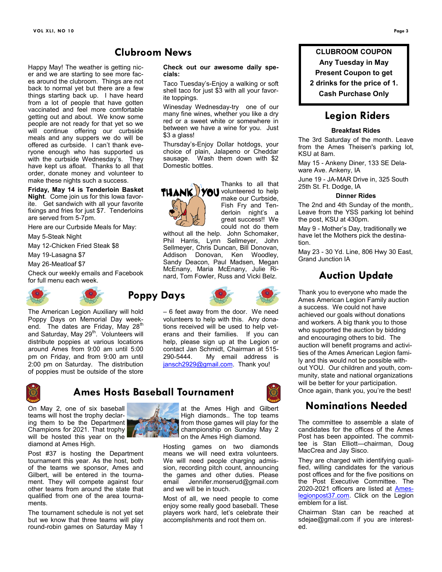### **Clubroom News**

Happy May! The weather is getting nicer and we are starting to see more faces around the clubroom. Things are not back to normal yet but there are a few things starting back up. I have heard from a lot of people that have gotten vaccinated and feel more comfortable getting out and about. We know some people are not ready for that yet so we will continue offering our curbside meals and any suppers we do will be offered as curbside. I can't thank everyone enough who has supported us with the curbside Wednesday's. They have kept us afloat. Thanks to all that order, donate money and volunteer to make these nights such a success.

**Friday, May 14 is Tenderloin Basket Night**. Come join us for this Iowa favorite. Get sandwich with all your favorite fixings and fries for just \$7. Tenderloins are served from 5-7pm.

Here are our Curbside Meals for May:

May 5-Steak Night

May 12-Chicken Fried Steak \$8

May 19-Lasagna \$7

May 26-Meatloaf \$7

Check our weekly emails and Facebook for full menu each week.





The American Legion Auxiliary will hold Poppy Days on Memorial Day weekend. The dates are Friday, May 28<sup>th</sup> and Saturday, May 29<sup>th</sup>. Volunteers will distribute poppies at various locations around Ames from 9:00 am until 5:00 pm on Friday, and from 9:00 am until 2:00 pm on Saturday. The distribution of poppies must be outside of the store



### **Ames Hosts Baseball Tournament**

On May 2, one of six baseball teams will host the trophy declaring them to be the Department Champions for 2021. That trophy will be hosted this year on the diamond at Ames High.

Post #37 is hosting the Department tournament this year. As the host, both of the teams we sponsor, Ames and Gilbert, will be entered in the tournament. They will compete against four other teams from around the state that qualified from one of the area tournaments.

The tournament schedule is not yet set but we know that three teams will play round-robin games on Saturday May 1



**Check out our awesome daily spe-**

ite toppings. Winesday Wednesday-try one of our many fine wines, whether you like a dry red or a sweet white or somewhere in between we have a wine for you. Just \$3 a glass!

Thursday's-Enjoy Dollar hotdogs, your choice of plain, Jalapeno or Cheddar sausage. Wash them down with \$2 Domestic bottles.



make our Curbside, Fish Fry and Tenderloin night's a great success!! We could not do them

Thanks to all that

without all the help. John Schomaker, Phil Harris, Lynn Sellmeyer, John Sellmeyer, Chris Duncan, Bill Donovan, Addison Donovan, Ken Woodley, Sandy Deacon, Paul Madsen, Megan McEnany, Maria McEnany, Julie Rinard, Tom Fowler, Russ and Vicki Belz.



– 6 feet away from the door. We need volunteers to help with this. Any donations received will be used to help veterans and their families. If you can help, please sign up at the Legion or contact Jan Schmidt, Chairman at 515- 290-5444. My email address is [jansch2929@gmail.com.](mailto:jansch2929@gmail.com) Thank you!



# at the Ames High and Gilbert

High diamonds.. The top teams from those games will play for the championship on Sunday May 2 on the Ames High diamond.

Hosting games on two diamonds means we will need extra volunteers. We will need people charging admission, recording pitch count, announcing the games and other duties. Please email Jennifer.monserud@gmail.com and we will be in touch.

Most of all, we need people to come enjoy some really good baseball. These players work hard, let's celebrate their accomplishments and root them on.

**CLUBROOM COUPON**

**Any Tuesday in May Present Coupon to get**

**2 drinks for the price of 1.**

**Cash Purchase Only**

### **Legion Riders**

### **Breakfast Rides**

The 3rd Saturday of the month. Leave from the Ames Theisen's parking lot, KSU at 8am.

May 15 - Ankeny Diner, 133 SE Delaware Ave. Ankeny, IA

June 19 - JA-MAR Drive in, 325 South 25th St. Ft. Dodge, IA

### **Dinner Rides**

The 2nd and 4th Sunday of the month,. Leave from the YSS parking lot behind the post, KSU at 430pm.

May 9 - Mother's Day, traditionally we have let the Mothers pick the destination.

May 23 - 30 Yd. Line, 806 Hwy 30 East, Grand Junction IA

### **Auction Update**

Thank you to everyone who made the Ames American Legion Family auction a success. We could not have achieved our goals without donations and workers. A big thank you to those who supported the auction by bidding and encouraging others to bid. The auction will benefit programs and activities of the Ames American Legion family and this would not be possible without YOU. Our children and youth, community, state and national organizations will be better for your participation. Once again, thank you, you're the best!

### **Nominations Needed**

The committee to assemble a slate of candidates for the offices of the Ames Post has been appointed. The committee is Stan Elliott—chairman, Doug MacCrea and Jay Sisco.

They are charged with identifying qualified, willing candidates for the various post offices and for the five positions on the Post Executive Committee. The 2020-2021 officers are listed at [Ames](https://ameslegionpost37.com/?fbclid=IwAR3juMp13Guqrlhc99Z1A8h5cXdBpPkRARui5jaqo8UhYTVqjX2PPu2I5sw)[legionpost37.com.](https://ameslegionpost37.com/?fbclid=IwAR3juMp13Guqrlhc99Z1A8h5cXdBpPkRARui5jaqo8UhYTVqjX2PPu2I5sw) Click on the Legion emblem for a list.

Chairman Stan can be reached at sdejae@gmail.com if you are interested.